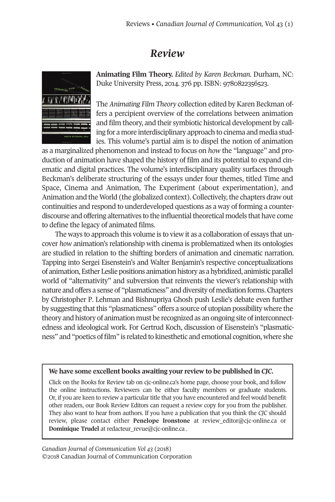## *Review*



**Animating Film Theory.** *Edited by Karen Beckman*. Durham, NC: Duke University Press, 2014. 376 pp. ISBN: 9780822356523.

The *Animating Film Theory* collection edited by Karen Beckman offers a percipient overview of the correlations between animation and film theory, and their symbiotic historical development by calling for a more interdisciplinary approach to cinema and media studies. This volume's partial aim is to dispel the notion of animation

as a marginalized phenomenon and instead to focus on *how* the "language" and production of animation have shaped the history of film and its potential to expand cinematic and digital practices. The volume's interdisciplinary quality surfaces through Beckman's deliberate structuring of the essays under four themes, titled Time and Space, Cinema and Animation, The Experiment (about experimentation), and Animation and the World (the globalized context). Collectively, the chapters draw out continuities and respond to underdeveloped questions as a way of forming a counterdiscourse and offering alternatives to the influentialtheoretical models that have come to define the legacy of animated films.

The ways to approach this volume is to view it as a collaboration of essays that uncover *how* animation's relationship with cinema is problematized when its ontologies are studied in relation to the shifting borders of animation and cinematic narration. Tapping into Sergei Eisenstein's and Walter Benjamin's respective conceptualizations of animation, Esther Leslie positions animationhistory as ahybridized, animistic parallel world of "alternativity" and subversion that reinvents the viewer's relationship with nature and offers a sense of "plasmaticness" and diversity of mediation forms.Chapters by Christopher P. Lehman and Bishnupriya Ghosh push Leslie's debate even further by suggesting thatthis "plasmaticness" offers a source of utopian possibility where the theory and history of animation must be recognized as an ongoing site ofinterconnectedness and ideological work. For Gertrud Koch, discussion of Eisenstein's "plasmaticness" and "poetics of film" is related to kinesthetic and emotional cognition, where she

## **We have some excellent books awaiting your review to be published in** *CJC.*

Click on the Books for Review tab on cjc-online.ca's home page, choose your book, and follow the online instructions. Reviewers can be either faculty members or graduate students. Or, if you are keen to review a particular title that you have encountered and feel would benefit other readers, our Book Review Editors can request a review copy for you from the publisher. They also want to hear from authors. If you have a publication that you think the *CJC* should review, please contact either **Penelope Ironstone** at [review\\_editor@cjc-online.ca](mailto:review_editor@cjc-online.ca) or **Dominique Trudel** at [redacteur\\_revue@cjc-online.ca](mailto:redacteur_revue@cjc-online.ca) .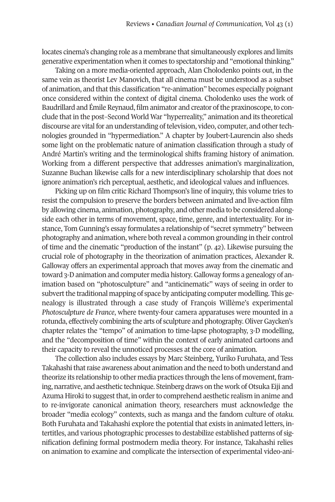locates cinema's changing role as a membrane that simultaneously explores and limits generative experimentation when it comes to spectatorship and "emotionalthinking."

Taking on a more media-oriented approach, Alan Cholodenko points out, in the same vein as theorist Lev Manovich, that all cinema must be understood as a subset of animation, and thatthis classification "re-animation" becomes especially poignant once considered within the context of digital cinema. Cholodenko uses the work of Baudrillard and Émile Reynaud, film animator and creator of the praxinoscope, to conclude that in the post–Second World War "hyperreality," animation and its theoretical discourse are vital for an understanding of television, video, computer, and other technologies grounded in "hypermediation." A chapter by Joubert-Laurencin also sheds some light on the problematic nature of animation classification through a study of André Martin's writing and the terminological shifts framing history of animation. Working from a different perspective that addresses animation's marginalization, Suzanne Buchan likewise calls for a new interdisciplinary scholarship that does not ignore animation's rich perceptual, aesthetic, and ideological values and influences.

Picking up on film critic Richard Thompson's line of inquiry, this volume tries to resist the compulsion to preserve the borders between animated and live-action film by allowing cinema, animation, photography, and other media to be considered alongside each other in terms of movement, space, time, genre, and intertextuality. For instance, Tom Gunning's essay formulates a relationship of "secret symmetry" between photography and animation, where both reveal a common grounding in their control of time and the cinematic "production of the instant" (p. 42). Likewise pursuing the crucial role of photography in the theorization of animation practices, Alexander R. Galloway offers an experimental approach that moves away from the cinematic and toward 3-Danimation and computer media history.Galloway forms a genealogy of animation based on "photosculpture" and "anticinematic" ways of seeing in order to subvert the traditional mapping of space by anticipating computer modelling. This genealogy is illustrated through a case study of François Willème's experimental *Photosculpture de France*, where twenty-four camera apparatuses were mounted in a rotunda, effectively combining the arts of sculpture and photography. OliverGaycken's chapter relates the "tempo" of animation to time-lapse photography, 3-D modelling, and the "decomposition of time" within the context of early animated cartoons and their capacity to reveal the unnoticed processes at the core of animation.

The collection also includes essays by Marc Steinberg, Yuriko Furuhata, and Tess Takahashi that raise awareness about animation and the need to both understand and theorize its relationship to other media practices through the lens of movement, framing, narrative, and aesthetic technique. Steinberg draws on the work of Otsuka Eiji and Azuma Hiroki to suggest that, in order to comprehend aesthetic realism in anime and to re-invigorate canonical animation theory, researchers must acknowledge the broader "media ecology" contexts, such as manga and the fandom culture of *otaku.* Both Furuhata and Takahashi explore the potential that exists in animated letters, intertitles, and various photographic processes to destabilize established patterns of signification defining formal postmodern media theory. For instance, Takahashi relies on animation to examine and complicate the intersection of experimental video-ani-